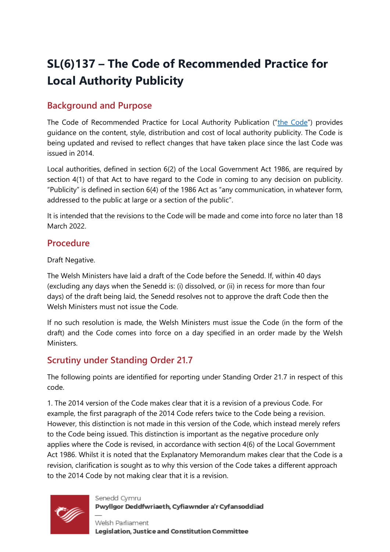# **SL(6)137 – The Code of Recommended Practice for Local Authority Publicity**

## **Background and Purpose**

The Code of Recommended Practice for Local Authority Publication ("[the Code](https://business.senedd.wales/mgIssueHistoryHome.aspx?IId=38654)") provides guidance on the content, style, distribution and cost of local authority publicity. The Code is being updated and revised to reflect changes that have taken place since the last Code was issued in 2014.

Local authorities, defined in section 6(2) of the Local Government Act 1986, are required by section 4(1) of that Act to have regard to the Code in coming to any decision on publicity. "Publicity" is defined in section 6(4) of the 1986 Act as "any communication, in whatever form, addressed to the public at large or a section of the public".

It is intended that the revisions to the Code will be made and come into force no later than 18 March 2022.

### **Procedure**

Draft Negative.

The Welsh Ministers have laid a draft of the Code before the Senedd. If, within 40 days (excluding any days when the Senedd is: (i) dissolved, or (ii) in recess for more than four days) of the draft being laid, the Senedd resolves not to approve the draft Code then the Welsh Ministers must not issue the Code.

If no such resolution is made, the Welsh Ministers must issue the Code (in the form of the draft) and the Code comes into force on a day specified in an order made by the Welsh **Ministers** 

## **Scrutiny under Standing Order 21.7**

The following points are identified for reporting under Standing Order 21.7 in respect of this code.

1. The 2014 version of the Code makes clear that it is a revision of a previous Code. For example, the first paragraph of the 2014 Code refers twice to the Code being a revision. However, this distinction is not made in this version of the Code, which instead merely refers to the Code being issued. This distinction is important as the negative procedure only applies where the Code is revised, in accordance with section 4(6) of the Local Government Act 1986. Whilst it is noted that the Explanatory Memorandum makes clear that the Code is a revision, clarification is sought as to why this version of the Code takes a different approach to the 2014 Code by not making clear that it is a revision.



Senedd Cymru Pwyllgor Deddfwriaeth, Cyfiawnder a'r Cyfansoddiad

Welsh Parliament Legislation, Justice and Constitution Committee